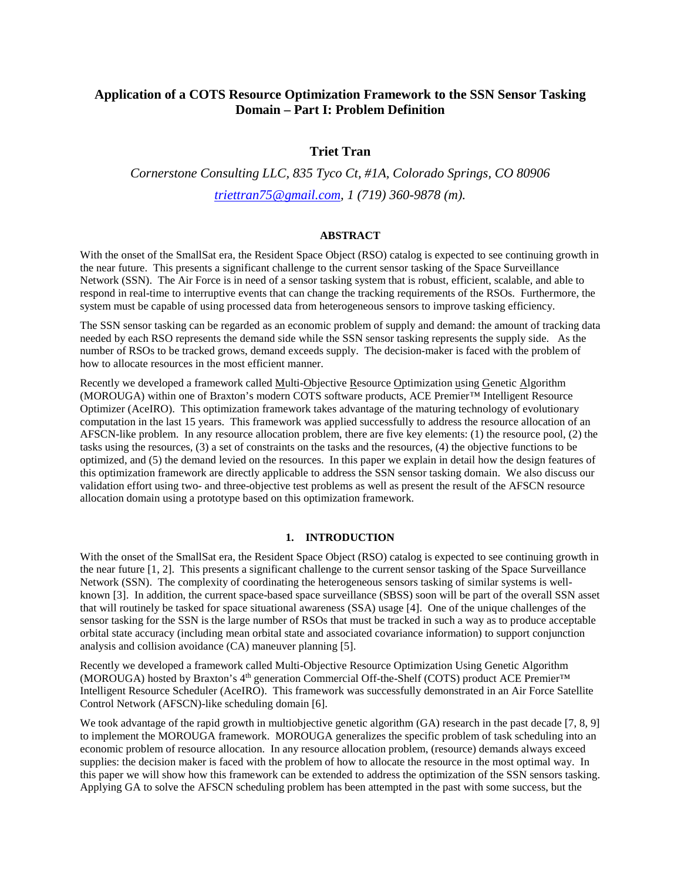## **Application of a COTS Resource Optimization Framework to the SSN Sensor Tasking Domain – Part I: Problem Definition**

### **Triet Tran**

# *Cornerstone Consulting LLC, 835 Tyco Ct, #1A, Colorado Springs, CO 80906 [triettran75@gmail.com,](mailto:triettran75@gmail.com) 1 (719) 360-9878 (m).*

### **ABSTRACT**

With the onset of the SmallSat era, the Resident Space Object (RSO) catalog is expected to see continuing growth in the near future. This presents a significant challenge to the current sensor tasking of the Space Surveillance Network (SSN). The Air Force is in need of a sensor tasking system that is robust, efficient, scalable, and able to respond in real-time to interruptive events that can change the tracking requirements of the RSOs. Furthermore, the system must be capable of using processed data from heterogeneous sensors to improve tasking efficiency.

The SSN sensor tasking can be regarded as an economic problem of supply and demand: the amount of tracking data needed by each RSO represents the demand side while the SSN sensor tasking represents the supply side. As the number of RSOs to be tracked grows, demand exceeds supply. The decision-maker is faced with the problem of how to allocate resources in the most efficient manner.

Recently we developed a framework called Multi-Objective Resource Optimization using Genetic Algorithm (MOROUGA) within one of Braxton's modern COTS software products, ACE Premier™ Intelligent Resource Optimizer (AceIRO). This optimization framework takes advantage of the maturing technology of evolutionary computation in the last 15 years. This framework was applied successfully to address the resource allocation of an AFSCN-like problem. In any resource allocation problem, there are five key elements: (1) the resource pool, (2) the tasks using the resources, (3) a set of constraints on the tasks and the resources, (4) the objective functions to be optimized, and (5) the demand levied on the resources. In this paper we explain in detail how the design features of this optimization framework are directly applicable to address the SSN sensor tasking domain. We also discuss our validation effort using two- and three-objective test problems as well as present the result of the AFSCN resource allocation domain using a prototype based on this optimization framework.

#### **1. INTRODUCTION**

With the onset of the SmallSat era, the Resident Space Object (RSO) catalog is expected to see continuing growth in the near future [1, 2]. This presents a significant challenge to the current sensor tasking of the Space Surveillance Network (SSN). The complexity of coordinating the heterogeneous sensors tasking of similar systems is wellknown [3]. In addition, the current space-based space surveillance (SBSS) soon will be part of the overall SSN asset that will routinely be tasked for space situational awareness (SSA) usage [4]. One of the unique challenges of the sensor tasking for the SSN is the large number of RSOs that must be tracked in such a way as to produce acceptable orbital state accuracy (including mean orbital state and associated covariance information) to support conjunction analysis and collision avoidance (CA) maneuver planning [5].

Recently we developed a framework called Multi-Objective Resource Optimization Using Genetic Algorithm (MOROUGA) hosted by Braxton's 4<sup>th</sup> generation Commercial Off-the-Shelf (COTS) product ACE Premier<sup>™</sup> Intelligent Resource Scheduler (AceIRO). This framework was successfully demonstrated in an Air Force Satellite Control Network (AFSCN)-like scheduling domain [6].

We took advantage of the rapid growth in multiobjective genetic algorithm (GA) research in the past decade [7, 8, 9] to implement the MOROUGA framework. MOROUGA generalizes the specific problem of task scheduling into an economic problem of resource allocation. In any resource allocation problem, (resource) demands always exceed supplies: the decision maker is faced with the problem of how to allocate the resource in the most optimal way. In this paper we will show how this framework can be extended to address the optimization of the SSN sensors tasking. Applying GA to solve the AFSCN scheduling problem has been attempted in the past with some success, but the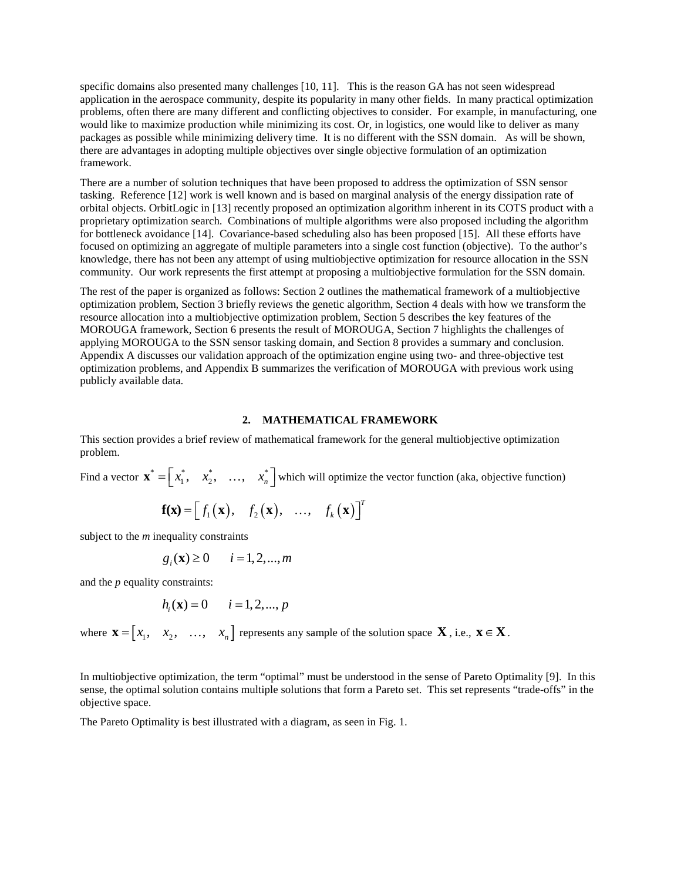specific domains also presented many challenges [10, 11]. This is the reason GA has not seen widespread application in the aerospace community, despite its popularity in many other fields. In many practical optimization problems, often there are many different and conflicting objectives to consider. For example, in manufacturing, one would like to maximize production while minimizing its cost. Or, in logistics, one would like to deliver as many packages as possible while minimizing delivery time. It is no different with the SSN domain. As will be shown, there are advantages in adopting multiple objectives over single objective formulation of an optimization framework.

There are a number of solution techniques that have been proposed to address the optimization of SSN sensor tasking. Reference [12] work is well known and is based on marginal analysis of the energy dissipation rate of orbital objects. OrbitLogic in [13] recently proposed an optimization algorithm inherent in its COTS product with a proprietary optimization search. Combinations of multiple algorithms were also proposed including the algorithm for bottleneck avoidance [14]. Covariance-based scheduling also has been proposed [15]. All these efforts have focused on optimizing an aggregate of multiple parameters into a single cost function (objective). To the author's knowledge, there has not been any attempt of using multiobjective optimization for resource allocation in the SSN community. Our work represents the first attempt at proposing a multiobjective formulation for the SSN domain.

The rest of the paper is organized as follows: Section 2 outlines the mathematical framework of a multiobjective optimization problem, Section 3 briefly reviews the genetic algorithm, Section 4 deals with how we transform the resource allocation into a multiobjective optimization problem, Section 5 describes the key features of the MOROUGA framework, Section 6 presents the result of MOROUGA, Section 7 highlights the challenges of applying MOROUGA to the SSN sensor tasking domain, and Section 8 provides a summary and conclusion. Appendix A discusses our validation approach of the optimization engine using two- and three-objective test optimization problems, and Appendix B summarizes the verification of MOROUGA with previous work using publicly available data.

#### **2. MATHEMATICAL FRAMEWORK**

This section provides a brief review of mathematical framework for the general multiobjective optimization problem.

Find a vector  $\mathbf{x}^* = \begin{bmatrix} x_1^*, & x_2^*, & \dots, & x_n^* \end{bmatrix}$  which will optimize the vector function (aka, objective function)

$$
\mathbf{f}(\mathbf{x}) = [f_1(\mathbf{x}), f_2(\mathbf{x}), ..., f_k(\mathbf{x})]^T
$$

subject to the *m* inequality constraints

$$
g_i(\mathbf{x}) \ge 0 \qquad i = 1, 2, \dots, m
$$

and the *p* equality constraints:

$$
h_i(\mathbf{x}) = 0
$$
  $i = 1, 2, ..., p$ 

where  $\mathbf{x} = \begin{bmatrix} x_1, & x_2, & \dots, & x_n \end{bmatrix}$  represents any sample of the solution space  $\mathbf{X}$ , i.e.,  $\mathbf{x} \in \mathbf{X}$ .

In multiobjective optimization, the term "optimal" must be understood in the sense of Pareto Optimality [9]. In this sense, the optimal solution contains multiple solutions that form a Pareto set. This set represents "trade-offs" in the objective space.

The Pareto Optimality is best illustrated with a diagram, as seen in Fig. 1.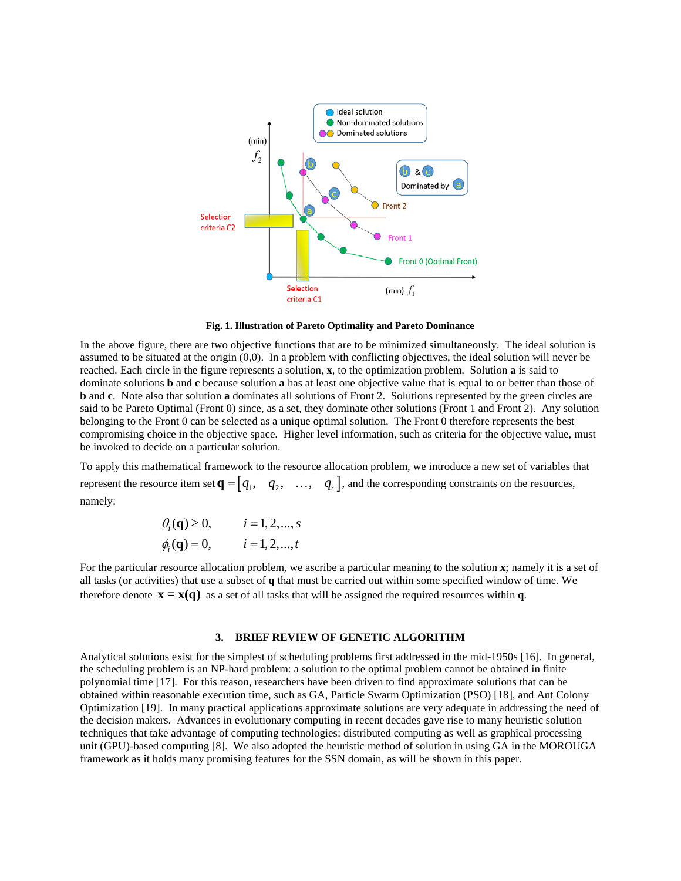

**Fig. 1. Illustration of Pareto Optimality and Pareto Dominance**

In the above figure, there are two objective functions that are to be minimized simultaneously. The ideal solution is assumed to be situated at the origin (0,0). In a problem with conflicting objectives, the ideal solution will never be reached. Each circle in the figure represents a solution, **x**, to the optimization problem. Solution **a** is said to dominate solutions **b** and **c** because solution **a** has at least one objective value that is equal to or better than those of **b** and **c**. Note also that solution **a** dominates all solutions of Front 2. Solutions represented by the green circles are said to be Pareto Optimal (Front 0) since, as a set, they dominate other solutions (Front 1 and Front 2). Any solution belonging to the Front 0 can be selected as a unique optimal solution. The Front 0 therefore represents the best compromising choice in the objective space. Higher level information, such as criteria for the objective value, must be invoked to decide on a particular solution.

To apply this mathematical framework to the resource allocation problem, we introduce a new set of variables that represent the resource item set  $\mathbf{q} = \begin{bmatrix} q_1, & q_2, & \dots, & q_r \end{bmatrix}$ , and the corresponding constraints on the resources, namely:

$$
\theta_i(\mathbf{q}) \ge 0,
$$
  $i = 1, 2, ..., s$   
\n $\phi_i(\mathbf{q}) = 0,$   $i = 1, 2, ..., t$ 

For the particular resource allocation problem, we ascribe a particular meaning to the solution **x**; namely it is a set of all tasks (or activities) that use a subset of **q** that must be carried out within some specified window of time. We therefore denote  $\mathbf{x} = \mathbf{x}(\mathbf{q})$  as a set of all tasks that will be assigned the required resources within **q**.

#### **3. BRIEF REVIEW OF GENETIC ALGORITHM**

Analytical solutions exist for the simplest of scheduling problems first addressed in the mid-1950s [16]. In general, the scheduling problem is an NP-hard problem: a solution to the optimal problem cannot be obtained in finite polynomial time [17]. For this reason, researchers have been driven to find approximate solutions that can be obtained within reasonable execution time, such as GA, Particle Swarm Optimization (PSO) [18], and Ant Colony Optimization [19]. In many practical applications approximate solutions are very adequate in addressing the need of the decision makers. Advances in evolutionary computing in recent decades gave rise to many heuristic solution techniques that take advantage of computing technologies: distributed computing as well as graphical processing unit (GPU)-based computing [8]. We also adopted the heuristic method of solution in using GA in the MOROUGA framework as it holds many promising features for the SSN domain, as will be shown in this paper.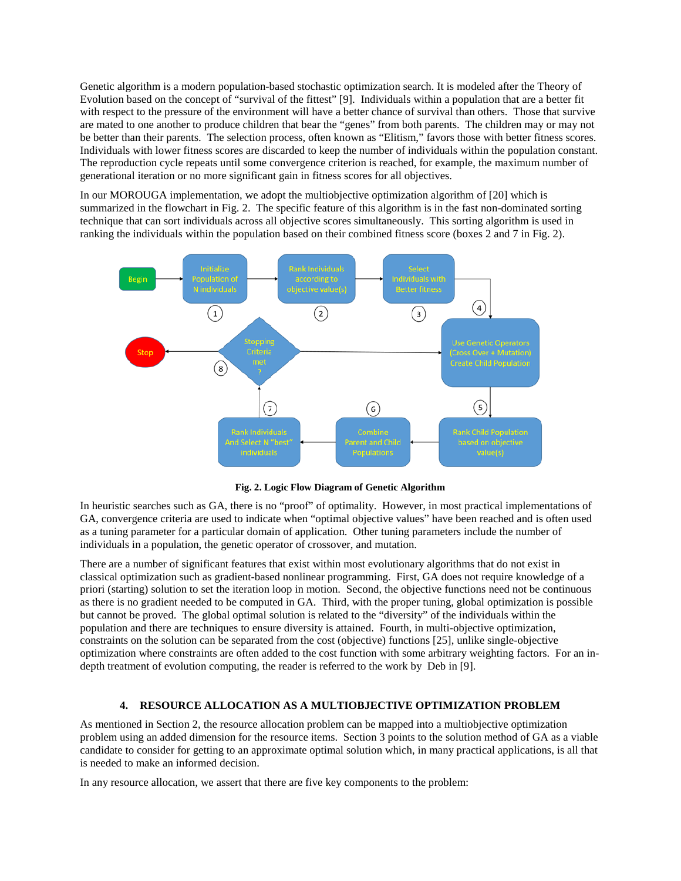Genetic algorithm is a modern population-based stochastic optimization search. It is modeled after the Theory of Evolution based on the concept of "survival of the fittest" [9]. Individuals within a population that are a better fit with respect to the pressure of the environment will have a better chance of survival than others. Those that survive are mated to one another to produce children that bear the "genes" from both parents. The children may or may not be better than their parents. The selection process, often known as "Elitism," favors those with better fitness scores. Individuals with lower fitness scores are discarded to keep the number of individuals within the population constant. The reproduction cycle repeats until some convergence criterion is reached, for example, the maximum number of generational iteration or no more significant gain in fitness scores for all objectives.

In our MOROUGA implementation, we adopt the multiobjective optimization algorithm of [20] which is summarized in the flowchart in Fig. 2. The specific feature of this algorithm is in the fast non-dominated sorting technique that can sort individuals across all objective scores simultaneously. This sorting algorithm is used in ranking the individuals within the population based on their combined fitness score (boxes 2 and 7 in Fig. 2).



**Fig. 2. Logic Flow Diagram of Genetic Algorithm**

In heuristic searches such as GA, there is no "proof" of optimality. However, in most practical implementations of GA, convergence criteria are used to indicate when "optimal objective values" have been reached and is often used as a tuning parameter for a particular domain of application. Other tuning parameters include the number of individuals in a population, the genetic operator of crossover, and mutation.

There are a number of significant features that exist within most evolutionary algorithms that do not exist in classical optimization such as gradient-based nonlinear programming. First, GA does not require knowledge of a priori (starting) solution to set the iteration loop in motion. Second, the objective functions need not be continuous as there is no gradient needed to be computed in GA. Third, with the proper tuning, global optimization is possible but cannot be proved. The global optimal solution is related to the "diversity" of the individuals within the population and there are techniques to ensure diversity is attained. Fourth, in multi-objective optimization, constraints on the solution can be separated from the cost (objective) functions [25], unlike single-objective optimization where constraints are often added to the cost function with some arbitrary weighting factors. For an indepth treatment of evolution computing, the reader is referred to the work by Deb in [9].

### **4. RESOURCE ALLOCATION AS A MULTIOBJECTIVE OPTIMIZATION PROBLEM**

As mentioned in Section 2, the resource allocation problem can be mapped into a multiobjective optimization problem using an added dimension for the resource items. Section 3 points to the solution method of GA as a viable candidate to consider for getting to an approximate optimal solution which, in many practical applications, is all that is needed to make an informed decision.

In any resource allocation, we assert that there are five key components to the problem: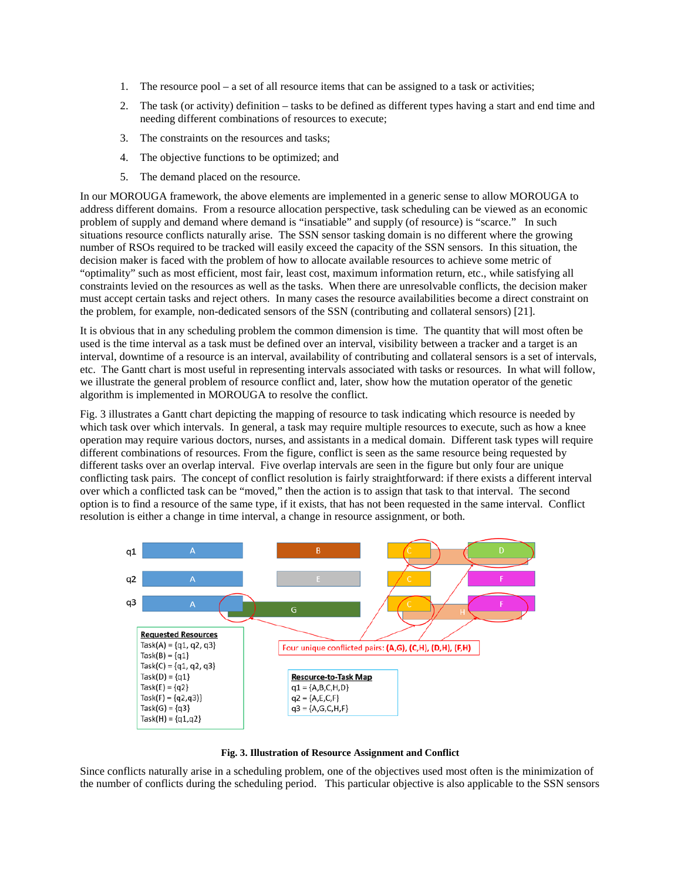- 1. The resource pool a set of all resource items that can be assigned to a task or activities;
- 2. The task (or activity) definition tasks to be defined as different types having a start and end time and needing different combinations of resources to execute;
- 3. The constraints on the resources and tasks;
- 4. The objective functions to be optimized; and
- 5. The demand placed on the resource.

In our MOROUGA framework, the above elements are implemented in a generic sense to allow MOROUGA to address different domains. From a resource allocation perspective, task scheduling can be viewed as an economic problem of supply and demand where demand is "insatiable" and supply (of resource) is "scarce." In such situations resource conflicts naturally arise. The SSN sensor tasking domain is no different where the growing number of RSOs required to be tracked will easily exceed the capacity of the SSN sensors. In this situation, the decision maker is faced with the problem of how to allocate available resources to achieve some metric of "optimality" such as most efficient, most fair, least cost, maximum information return, etc., while satisfying all constraints levied on the resources as well as the tasks. When there are unresolvable conflicts, the decision maker must accept certain tasks and reject others. In many cases the resource availabilities become a direct constraint on the problem, for example, non-dedicated sensors of the SSN (contributing and collateral sensors) [21].

It is obvious that in any scheduling problem the common dimension is time. The quantity that will most often be used is the time interval as a task must be defined over an interval, visibility between a tracker and a target is an interval, downtime of a resource is an interval, availability of contributing and collateral sensors is a set of intervals, etc. The Gantt chart is most useful in representing intervals associated with tasks or resources. In what will follow, we illustrate the general problem of resource conflict and, later, show how the mutation operator of the genetic algorithm is implemented in MOROUGA to resolve the conflict.

Fig. 3 illustrates a Gantt chart depicting the mapping of resource to task indicating which resource is needed by which task over which intervals. In general, a task may require multiple resources to execute, such as how a knee operation may require various doctors, nurses, and assistants in a medical domain. Different task types will require different combinations of resources. From the figure, conflict is seen as the same resource being requested by different tasks over an overlap interval. Five overlap intervals are seen in the figure but only four are unique conflicting task pairs. The concept of conflict resolution is fairly straightforward: if there exists a different interval over which a conflicted task can be "moved," then the action is to assign that task to that interval. The second option is to find a resource of the same type, if it exists, that has not been requested in the same interval. Conflict resolution is either a change in time interval, a change in resource assignment, or both.



**Fig. 3. Illustration of Resource Assignment and Conflict**

Since conflicts naturally arise in a scheduling problem, one of the objectives used most often is the minimization of the number of conflicts during the scheduling period. This particular objective is also applicable to the SSN sensors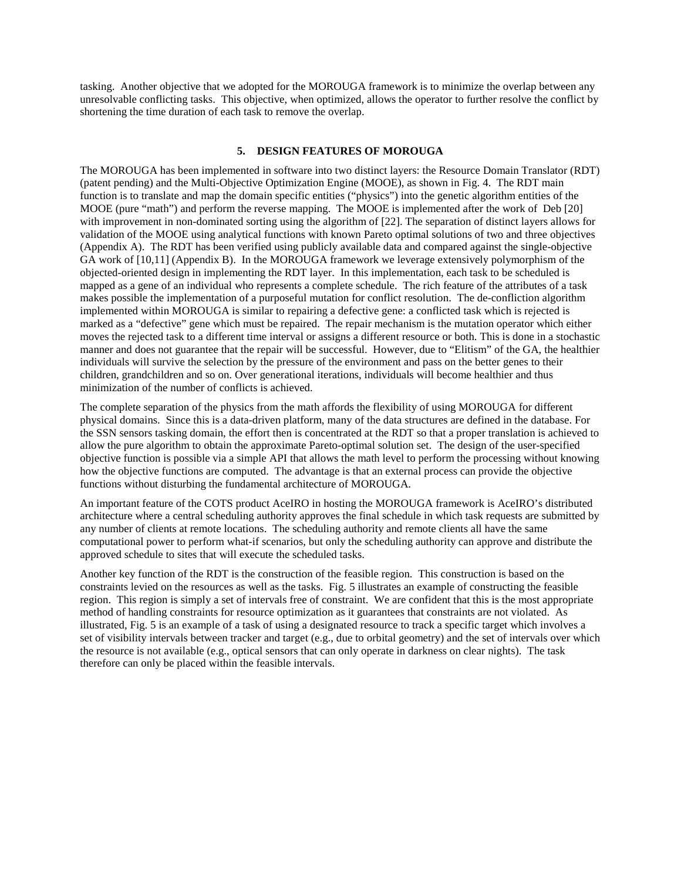tasking. Another objective that we adopted for the MOROUGA framework is to minimize the overlap between any unresolvable conflicting tasks. This objective, when optimized, allows the operator to further resolve the conflict by shortening the time duration of each task to remove the overlap.

#### **5. DESIGN FEATURES OF MOROUGA**

The MOROUGA has been implemented in software into two distinct layers: the Resource Domain Translator (RDT) (patent pending) and the Multi-Objective Optimization Engine (MOOE), as shown in Fig. 4. The RDT main function is to translate and map the domain specific entities ("physics") into the genetic algorithm entities of the MOOE (pure "math") and perform the reverse mapping. The MOOE is implemented after the work of Deb [20] with improvement in non-dominated sorting using the algorithm of [22]. The separation of distinct layers allows for validation of the MOOE using analytical functions with known Pareto optimal solutions of two and three objectives (Appendix A). The RDT has been verified using publicly available data and compared against the single-objective GA work of [10,11] (Appendix B). In the MOROUGA framework we leverage extensively polymorphism of the objected-oriented design in implementing the RDT layer. In this implementation, each task to be scheduled is mapped as a gene of an individual who represents a complete schedule. The rich feature of the attributes of a task makes possible the implementation of a purposeful mutation for conflict resolution. The de-confliction algorithm implemented within MOROUGA is similar to repairing a defective gene: a conflicted task which is rejected is marked as a "defective" gene which must be repaired. The repair mechanism is the mutation operator which either moves the rejected task to a different time interval or assigns a different resource or both. This is done in a stochastic manner and does not guarantee that the repair will be successful. However, due to "Elitism" of the GA, the healthier individuals will survive the selection by the pressure of the environment and pass on the better genes to their children, grandchildren and so on. Over generational iterations, individuals will become healthier and thus minimization of the number of conflicts is achieved.

The complete separation of the physics from the math affords the flexibility of using MOROUGA for different physical domains. Since this is a data-driven platform, many of the data structures are defined in the database. For the SSN sensors tasking domain, the effort then is concentrated at the RDT so that a proper translation is achieved to allow the pure algorithm to obtain the approximate Pareto-optimal solution set. The design of the user-specified objective function is possible via a simple API that allows the math level to perform the processing without knowing how the objective functions are computed. The advantage is that an external process can provide the objective functions without disturbing the fundamental architecture of MOROUGA.

An important feature of the COTS product AceIRO in hosting the MOROUGA framework is AceIRO's distributed architecture where a central scheduling authority approves the final schedule in which task requests are submitted by any number of clients at remote locations. The scheduling authority and remote clients all have the same computational power to perform what-if scenarios, but only the scheduling authority can approve and distribute the approved schedule to sites that will execute the scheduled tasks.

Another key function of the RDT is the construction of the feasible region. This construction is based on the constraints levied on the resources as well as the tasks. Fig. 5 illustrates an example of constructing the feasible region. This region is simply a set of intervals free of constraint. We are confident that this is the most appropriate method of handling constraints for resource optimization as it guarantees that constraints are not violated. As illustrated, Fig. 5 is an example of a task of using a designated resource to track a specific target which involves a set of visibility intervals between tracker and target (e.g., due to orbital geometry) and the set of intervals over which the resource is not available (e.g., optical sensors that can only operate in darkness on clear nights). The task therefore can only be placed within the feasible intervals.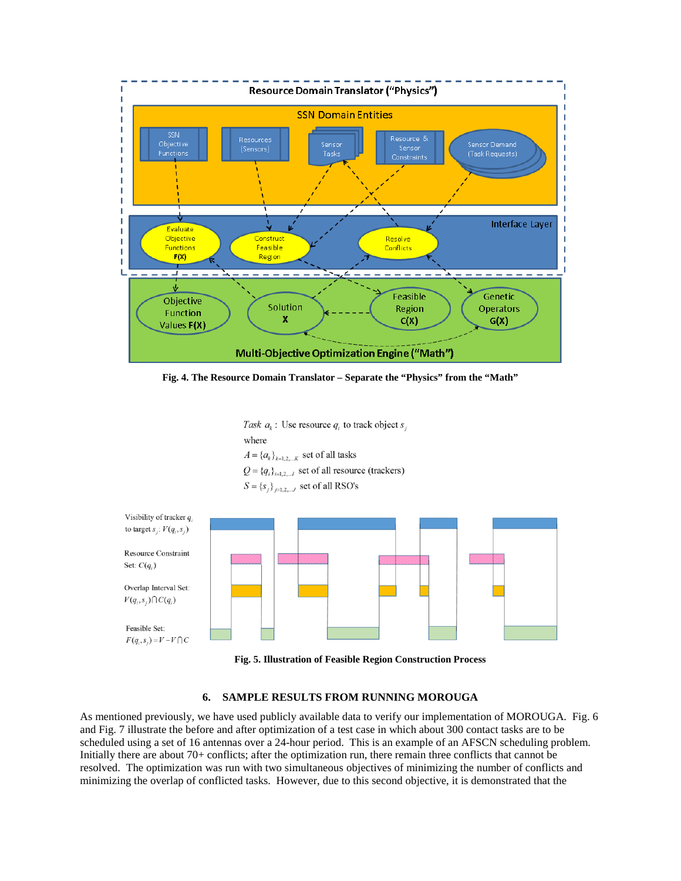

**Fig. 4. The Resource Domain Translator – Separate the "Physics" from the "Math"**

Task  $a_k$ : Use resource  $q_i$  to track object  $s_i$ where  $A = \{a_k\}_{k=1,2,...,K}$  set of all tasks  $Q = \{q_i\}_{i=1,2,...}$  set of all resource (trackers)  $S = \{s_i\}_{i=1,2,...,J}$  set of all RSO's



**Fig. 5. Illustration of Feasible Region Construction Process**

### **6. SAMPLE RESULTS FROM RUNNING MOROUGA**

As mentioned previously, we have used publicly available data to verify our implementation of MOROUGA. Fig. 6 and Fig. 7 illustrate the before and after optimization of a test case in which about 300 contact tasks are to be scheduled using a set of 16 antennas over a 24-hour period. This is an example of an AFSCN scheduling problem. Initially there are about 70+ conflicts; after the optimization run, there remain three conflicts that cannot be resolved. The optimization was run with two simultaneous objectives of minimizing the number of conflicts and minimizing the overlap of conflicted tasks. However, due to this second objective, it is demonstrated that the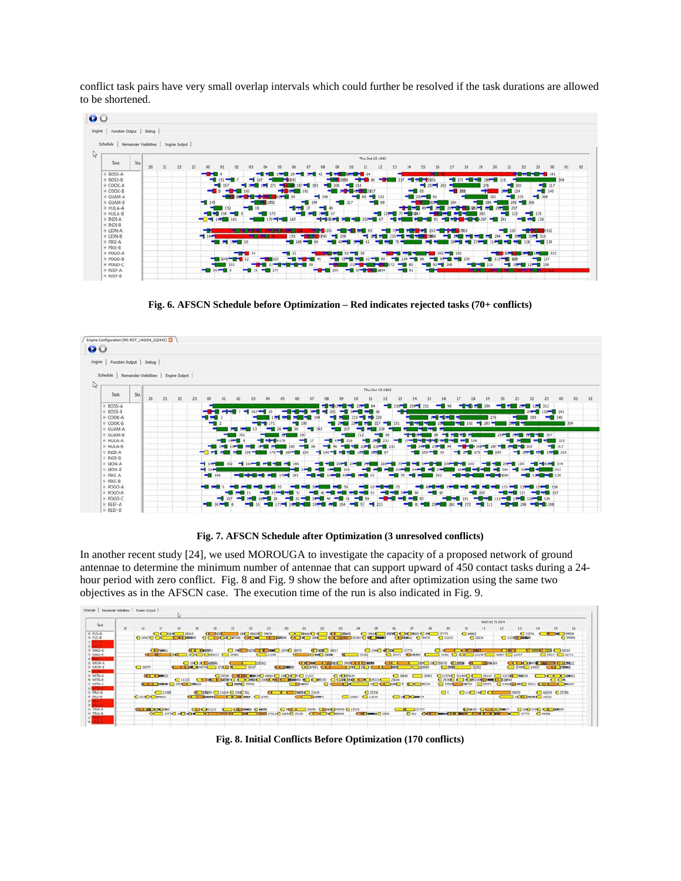conflict task pairs have very small overlap intervals which could further be resolved if the task durations are allowed to be shortened.



**Fig. 6. AFSCN Schedule before Optimization – Red indicates rejected tasks (70+ conflicts)**



**Fig. 7. AFSCN Schedule after Optimization (3 unresolved conflicts)**

In another recent study [24], we used MOROUGA to investigate the capacity of a proposed network of ground antennae to determine the minimum number of antennae that can support upward of 450 contact tasks during a 24 hour period with zero conflict. Fig. 8 and Fig. 9 show the before and after optimization using the same two objectives as in the AFSCN case. The execution time of the run is also indicated in Fig. 9.

|                           |    |                |                                   |                      |                          |                                                   |                                                                                     |                                  |                                     |                           |                                            |                                                                      |                                           |                 |                                                                                                                                                                                                                                      |                                         |                              |                                                                                 |                 |             | Wed Oct 15 2014      |                      |                        |                                      |              |
|---------------------------|----|----------------|-----------------------------------|----------------------|--------------------------|---------------------------------------------------|-------------------------------------------------------------------------------------|----------------------------------|-------------------------------------|---------------------------|--------------------------------------------|----------------------------------------------------------------------|-------------------------------------------|-----------------|--------------------------------------------------------------------------------------------------------------------------------------------------------------------------------------------------------------------------------------|-----------------------------------------|------------------------------|---------------------------------------------------------------------------------|-----------------|-------------|----------------------|----------------------|------------------------|--------------------------------------|--------------|
| Tack                      | 15 | 16             | 17                                | 18.                  | $39 -$                   | 20                                                | 25                                                                                  | 22                               | $-22$                               | 00                        | 01                                         | $^{\circ}$                                                           | <b>CER</b>                                | D4              | OS:                                                                                                                                                                                                                                  | $\infty$                                |                              | $09 -$                                                                          | <b>LD</b>       | 11          | 12                   | 12                   | 14                     | 15                                   | 16           |
| <b>R. FUSAL</b>           |    |                | <b>CLOSE</b>                      | 78163                |                          | 44.1286                                           |                                                                                     | 2000 Block 00 39476              |                                     |                           | <b>CONTRACTOR</b>                          |                                                                      | <b>THE R. P. LEWIS CO., LANSING MICH.</b> |                 | $-10061$                                                                                                                                                                                                                             | <b>SOURCE &amp; ROCHARDS &amp; MAY</b>  |                              | 737779                                                                          | $-1.44962$      |             |                      | $-21876$             |                        | <b>AC DIA A SANCH</b>                |              |
| $H$ FUS-B                 |    |                | <b>CLOSS COMPUTER</b>             | <b>CONSIDERATION</b> |                          | <b>CONTRACT AND AND STATES OF A REAL PROPERTY</b> |                                                                                     |                                  |                                     |                           |                                            |                                                                      |                                           |                 | <b>CALL SECTION CONTROLS FOR A REPORT OF A STATE OF A REPORT OF A REPORT OF A REPORT OF A REPORT OF A REPORT OF A REPORT OF A REPORT OF A REPORT OF A REPORT OF A REPORT OF A REPORT OF A REPORT OF A REPORT OF A REPORT OF A RE</b> |                                         | <b>CE PRADE: 4 199476</b>    | $\Box$ 11223                                                                    |                 | $-16331$    |                      | <b>Class of Bene</b> |                        |                                      | $\Box$ 00000 |
|                           |    |                |                                   |                      |                          |                                                   |                                                                                     |                                  |                                     |                           |                                            |                                                                      |                                           |                 |                                                                                                                                                                                                                                      |                                         |                              |                                                                                 |                 |             |                      |                      |                        |                                      |              |
| MAU-A                     |    |                | <b>CO TSONE</b>                   |                      | <b>CETA CONSISTENCIA</b> |                                                   |                                                                                     |                                  | <b>1 39 6 8234 6 800 2870 38978</b> |                           |                                            |                                                                      | <b>CEPHENE 39017</b>                      |                 | $\Box$ 3346 $\Box$ 600 $\Box$                                                                                                                                                                                                        |                                         | 107779                       | <b>CO 250</b>                                                                   | <b>TELEPOOL</b> |             | $\cdots$             |                      |                        | 4 999994 2009 1 3000 50007           |              |
| MAU-8                     |    |                |                                   |                      |                          | <b>COLLEGE DE MESOS 7</b>                         | "I 25405                                                                            |                                  | 27290                               |                           |                                            | <b>CINE ZERE</b>                                                     |                                           |                 |                                                                                                                                                                                                                                      | 1 39375                                 | <b>HE SUISSER</b>            | 35362 CEOCH                                                                     |                 | 272984      | 200024               | 22657                |                        | $-1.29017 - 1.22711$                 |              |
|                           |    |                |                                   |                      |                          |                                                   |                                                                                     |                                  |                                     |                           |                                            |                                                                      |                                           |                 |                                                                                                                                                                                                                                      |                                         |                              |                                                                                 |                 |             |                      |                      |                        |                                      |              |
| MGW-A                     |    |                |                                   |                      | 12002300                 |                                                   |                                                                                     |                                  | 226362                              |                           |                                            |                                                                      | 4 A 14 24 M 4 HARD 121 2301 4 4 4 HARD 1  |                 |                                                                                                                                                                                                                                      | $-11$                                   |                              | DZIA 20 730970 1 2009                                                           |                 | 44 22024369 |                      |                      |                        | <b>LA CAR DIGHT A DEALER CONTROL</b> |              |
| E MOW-B                   |    | <b>T 39375</b> |                                   |                      |                          | T T CAR 1046744 273 10 31                         |                                                                                     | 36107                            |                                     |                           |                                            |                                                                      |                                           |                 | CXL20001 CX CX                                                                                                                                                                                                                       |                                         | $T = 120000$                 | $+1205$                                                                         |                 | 32252       |                      |                      |                        | CO 25409 14653 C.L. 108062           |              |
| .                         |    |                |                                   |                      |                          |                                                   |                                                                                     |                                  |                                     |                           |                                            |                                                                      |                                           |                 |                                                                                                                                                                                                                                      |                                         |                              |                                                                                 |                 |             |                      |                      |                        |                                      |              |
| = MTN-A<br><b>K-MTN-R</b> |    |                | $(1 + 1)$ ( $(1 + 1)$ )           |                      |                          |                                                   | $\bigodot$ 25338 $\bigodot$ <del>MITTE MOADS CO</del> 44862 $\bigodot$ 296 CO 31223 |                                  |                                     |                           |                                            | C 11223 C CRAGGE TELESSING A DIVISION COMPANIES TRANSPORTED INVESTS: | O3O3634                                   |                 | C C800 56 CR ES371 29544                                                                                                                                                                                                             |                                         | 20043 2003                   | C 21576 31140 C 1 3115 3163 4 22231 766839                                      |                 |             | 1.75.39844           |                      |                        | <b>CONTRACT ACCESS</b>               |              |
| IF MTN-C                  |    |                | <b>CONSULTING CONTRACT (2519)</b> |                      |                          |                                                   | 4 2074 99998                                                                        |                                  |                                     |                           | $-4.18107$                                 |                                                                      | <b>TABLE</b>                              |                 |                                                                                                                                                                                                                                      | <b>2000 GEORGE 1990 5 GEORGE 129236</b> |                              | C 3150 A.D 308815840 BM<br>4 3900 199729 4 35371 4 6000 1000 3000 3000 1 1000 1 |                 |             |                      |                      |                        | C1C6                                 |              |
| <b>STRED</b>              |    |                |                                   |                      |                          |                                                   |                                                                                     |                                  |                                     |                           |                                            | <b>OK</b>                                                            |                                           |                 |                                                                                                                                                                                                                                      |                                         |                              |                                                                                 |                 |             |                      |                      |                        |                                      |              |
| <b>PALLA</b>              |    |                | $-31695$                          |                      |                          | SAN DANCE IT NAMES IN CONSIDERS                   |                                                                                     |                                  |                                     | <b>CT N T POINT 25539</b> |                                            |                                                                      |                                           |                 | $C$ 25336                                                                                                                                                                                                                            |                                         |                              | <b>CIS CISTAS COMPUTER</b>                                                      |                 |             |                      | 39070                |                        | $-65509 - 15550$                     |              |
| $=$ $PALI - B$            |    | CRANGE 1 PETER |                                   |                      | <b>CA CARDINAL</b>       |                                                   |                                                                                     | <b>A de les agaze et agazets</b> |                                     |                           | <b>Contract Contract Contract Contract</b> | <b>BASERO</b>                                                        |                                           | THE 25067 COLOR |                                                                                                                                                                                                                                      |                                         | <b>COLLEGE IN CONTRACTOR</b> |                                                                                 |                 |             |                      |                      | 200 CLEAR DRIVEL 20212 |                                      |              |
|                           |    |                |                                   |                      |                          |                                                   |                                                                                     |                                  |                                     |                           |                                            |                                                                      |                                           |                 |                                                                                                                                                                                                                                      |                                         |                              |                                                                                 |                 |             |                      |                      |                        |                                      |              |
| <b>START</b>              |    |                |                                   |                      |                          |                                                   |                                                                                     |                                  |                                     |                           |                                            |                                                                      |                                           |                 |                                                                                                                                                                                                                                      |                                         |                              |                                                                                 |                 |             |                      |                      |                        |                                      |              |
| $+$ TRM-A                 |    |                | <b>CELL 128 CL 78 2483</b>        |                      |                          | <b>CE 28 321223</b>                               | <b>CONTRACTS CONTRACTS</b>                                                          |                                  |                                     |                           |                                            |                                                                      |                                           |                 |                                                                                                                                                                                                                                      |                                         |                              |                                                                                 |                 |             | TRANSCO CHECK NORWAY |                      |                        | (284) 3789 9 66 122999               |              |

**Fig. 8. Initial Conflicts Before Optimization (170 conflicts)**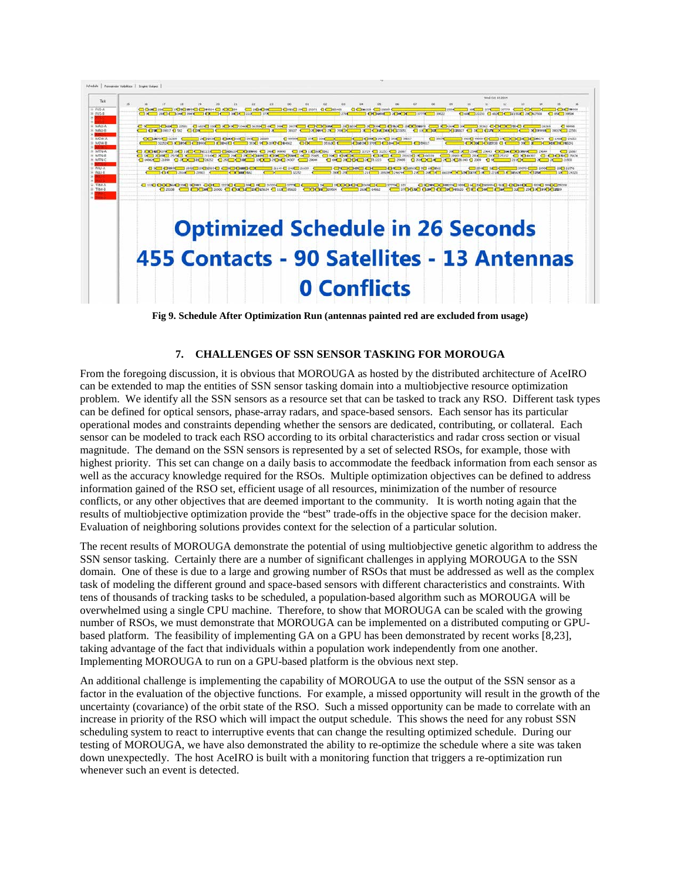

**Fig 9. Schedule After Optimization Run (antennas painted red are excluded from usage)**

#### **7. CHALLENGES OF SSN SENSOR TASKING FOR MOROUGA**

From the foregoing discussion, it is obvious that MOROUGA as hosted by the distributed architecture of AceIRO can be extended to map the entities of SSN sensor tasking domain into a multiobjective resource optimization problem. We identify all the SSN sensors as a resource set that can be tasked to track any RSO. Different task types can be defined for optical sensors, phase-array radars, and space-based sensors. Each sensor has its particular operational modes and constraints depending whether the sensors are dedicated, contributing, or collateral. Each sensor can be modeled to track each RSO according to its orbital characteristics and radar cross section or visual magnitude. The demand on the SSN sensors is represented by a set of selected RSOs, for example, those with highest priority. This set can change on a daily basis to accommodate the feedback information from each sensor as well as the accuracy knowledge required for the RSOs. Multiple optimization objectives can be defined to address information gained of the RSO set, efficient usage of all resources, minimization of the number of resource conflicts, or any other objectives that are deemed important to the community. It is worth noting again that the results of multiobjective optimization provide the "best" trade-offs in the objective space for the decision maker. Evaluation of neighboring solutions provides context for the selection of a particular solution.

The recent results of MOROUGA demonstrate the potential of using multiobjective genetic algorithm to address the SSN sensor tasking. Certainly there are a number of significant challenges in applying MOROUGA to the SSN domain. One of these is due to a large and growing number of RSOs that must be addressed as well as the complex task of modeling the different ground and space-based sensors with different characteristics and constraints. With tens of thousands of tracking tasks to be scheduled, a population-based algorithm such as MOROUGA will be overwhelmed using a single CPU machine. Therefore, to show that MOROUGA can be scaled with the growing number of RSOs, we must demonstrate that MOROUGA can be implemented on a distributed computing or GPUbased platform. The feasibility of implementing GA on a GPU has been demonstrated by recent works [8,23], taking advantage of the fact that individuals within a population work independently from one another. Implementing MOROUGA to run on a GPU-based platform is the obvious next step.

An additional challenge is implementing the capability of MOROUGA to use the output of the SSN sensor as a factor in the evaluation of the objective functions. For example, a missed opportunity will result in the growth of the uncertainty (covariance) of the orbit state of the RSO. Such a missed opportunity can be made to correlate with an increase in priority of the RSO which will impact the output schedule. This shows the need for any robust SSN scheduling system to react to interruptive events that can change the resulting optimized schedule. During our testing of MOROUGA, we have also demonstrated the ability to re-optimize the schedule where a site was taken down unexpectedly. The host AceIRO is built with a monitoring function that triggers a re-optimization run whenever such an event is detected.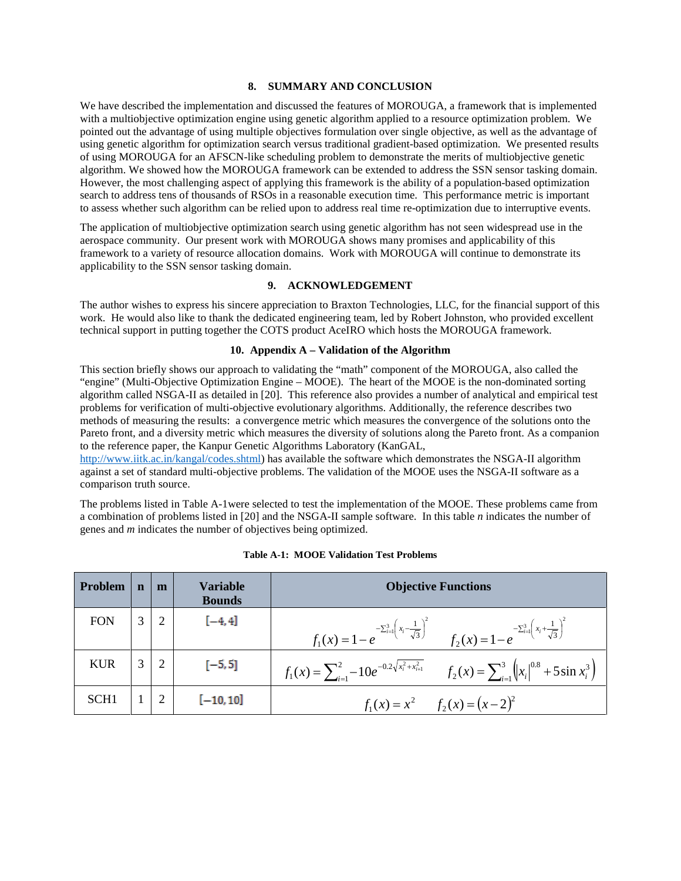#### **8. SUMMARY AND CONCLUSION**

We have described the implementation and discussed the features of MOROUGA, a framework that is implemented with a multiobjective optimization engine using genetic algorithm applied to a resource optimization problem. We pointed out the advantage of using multiple objectives formulation over single objective, as well as the advantage of using genetic algorithm for optimization search versus traditional gradient-based optimization. We presented results of using MOROUGA for an AFSCN-like scheduling problem to demonstrate the merits of multiobjective genetic algorithm. We showed how the MOROUGA framework can be extended to address the SSN sensor tasking domain. However, the most challenging aspect of applying this framework is the ability of a population-based optimization search to address tens of thousands of RSOs in a reasonable execution time. This performance metric is important to assess whether such algorithm can be relied upon to address real time re-optimization due to interruptive events.

The application of multiobjective optimization search using genetic algorithm has not seen widespread use in the aerospace community. Our present work with MOROUGA shows many promises and applicability of this framework to a variety of resource allocation domains. Work with MOROUGA will continue to demonstrate its applicability to the SSN sensor tasking domain.

### **9. ACKNOWLEDGEMENT**

The author wishes to express his sincere appreciation to Braxton Technologies, LLC, for the financial support of this work. He would also like to thank the dedicated engineering team, led by Robert Johnston, who provided excellent technical support in putting together the COTS product AceIRO which hosts the MOROUGA framework.

#### **10. Appendix A – Validation of the Algorithm**

This section briefly shows our approach to validating the "math" component of the MOROUGA, also called the "engine" (Multi-Objective Optimization Engine – MOOE). The heart of the MOOE is the non-dominated sorting algorithm called NSGA-II as detailed in [20]. This reference also provides a number of analytical and empirical test problems for verification of multi-objective evolutionary algorithms. Additionally, the reference describes two methods of measuring the results: a convergence metric which measures the convergence of the solutions onto the Pareto front, and a diversity metric which measures the diversity of solutions along the Pareto front. As a companion to the reference paper, the Kanpur Genetic Algorithms Laboratory (KanGAL,

[http://www.iitk.ac.in/kangal/codes.shtml\)](http://www.iitk.ac.in/kangal/codes.shtml) has available the software which demonstrates the NSGA-II algorithm against a set of standard multi-objective problems. The validation of the MOOE uses the NSGA-II software as a comparison truth source.

The problems listed in Table A-1were selected to test the implementation of the MOOE. These problems came from a combination of problems listed in [20] and the NSGA-II sample software. In this table *n* indicates the number of genes and *m* indicates the number of objectives being optimized.

| Problem          | n          | m               | <b>Variable</b><br><b>Bounds</b> | <b>Objective Functions</b>                                                                                                                            |
|------------------|------------|-----------------|----------------------------------|-------------------------------------------------------------------------------------------------------------------------------------------------------|
| <b>FON</b>       | $3 \mid 2$ |                 | $[-4, 4]$                        | $f_1(x) = 1 - e^{-\sum_{i=1}^{3} \left(x_i - \frac{1}{\sqrt{3}}\right)^2}$ $f_2(x) = 1 - e^{-\sum_{i=1}^{3} \left(x_i + \frac{1}{\sqrt{3}}\right)^2}$ |
| <b>KUR</b>       |            | $3 \mid 2 \mid$ | $[-5, 5]$                        | $f_1(x) = \sum_{i=1}^{2} -10e^{-0.2\sqrt{x_i^2 + x_{i+1}^2}}$ $f_2(x) = \sum_{i=1}^{3} (x_i)^{0.8} + 5\sin x_i^3$                                     |
| SCH <sub>1</sub> |            |                 | $[-10, 10]$                      | $f_1(x) = x^2$ $f_2(x) = (x-2)^2$                                                                                                                     |

#### **Table A-1: MOOE Validation Test Problems**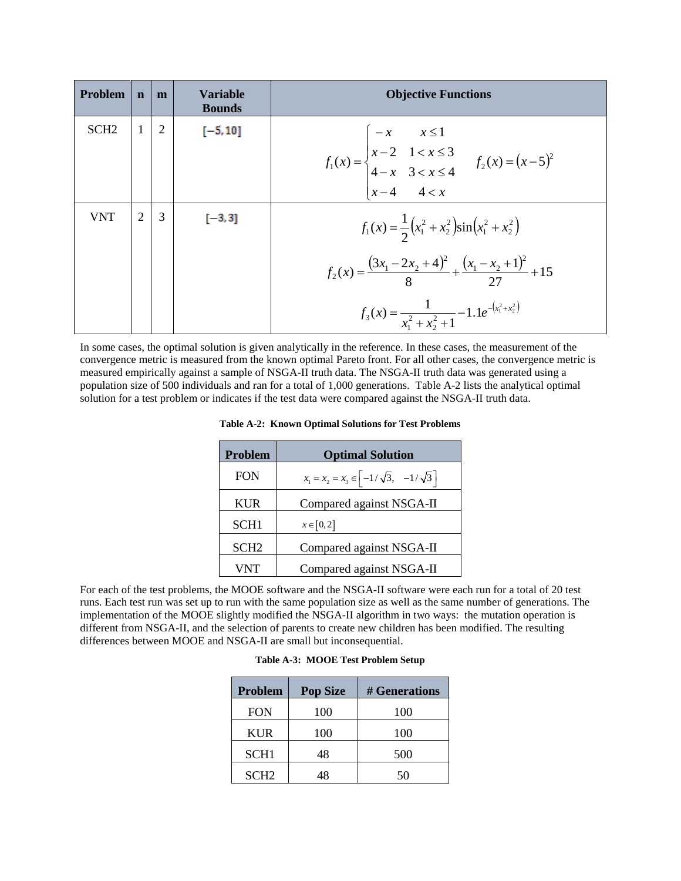| <b>Problem</b>   | $\mathbf n$ | m              | Variable<br><b>Bounds</b> | <b>Objective Functions</b>                                                                                                    |
|------------------|-------------|----------------|---------------------------|-------------------------------------------------------------------------------------------------------------------------------|
| SCH <sub>2</sub> |             | $\overline{2}$ | $[-5, 10]$                | $f_1(x) = \begin{cases} -x & x \le 1 \\ x-2 & 1 < x \le 3 \\ 4-x & 3 < x \le 4 \\ x-4 & 4 < x \end{cases}$ $f_2(x) = (x-5)^2$ |
|                  |             |                |                           |                                                                                                                               |
| <b>VNT</b>       |             | 3              | $[-3, 3]$                 | $f_1(x) = \frac{1}{2} (x_1^2 + x_2^2) \sin(x_1^2 + x_2^2)$                                                                    |
|                  |             |                |                           | $f_2(x) = \frac{(3x_1 - 2x_2 + 4)^2}{8} + \frac{(x_1 - x_2 + 1)^2}{27} + 15$                                                  |
|                  |             |                |                           | $f_3(x) = \frac{1}{x_1^2 + x_2^2 + 1} - 1.1e^{-(x_1^2 + x_2^2)}$                                                              |

In some cases, the optimal solution is given analytically in the reference. In these cases, the measurement of the convergence metric is measured from the known optimal Pareto front. For all other cases, the convergence metric is measured empirically against a sample of NSGA-II truth data. The NSGA-II truth data was generated using a population size of 500 individuals and ran for a total of 1,000 generations. Table A-2 lists the analytical optimal solution for a test problem or indicates if the test data were compared against the NSGA-II truth data.

|  |  |  |  |  | <b>Table A-2: Known Optimal Solutions for Test Problems</b> |
|--|--|--|--|--|-------------------------------------------------------------|
|--|--|--|--|--|-------------------------------------------------------------|

| Problem          | <b>Optimal Solution</b>                                                     |  |  |  |  |  |
|------------------|-----------------------------------------------------------------------------|--|--|--|--|--|
| <b>FON</b>       | $x_1 = x_2 = x_3 \in \left[-\frac{1}{\sqrt{3}}, -\frac{1}{\sqrt{3}}\right]$ |  |  |  |  |  |
| <b>KUR</b>       | Compared against NSGA-II                                                    |  |  |  |  |  |
| SCH <sub>1</sub> | $x \in [0,2]$                                                               |  |  |  |  |  |
| SCH <sub>2</sub> | Compared against NSGA-II                                                    |  |  |  |  |  |
| VNT              | Compared against NSGA-II                                                    |  |  |  |  |  |

For each of the test problems, the MOOE software and the NSGA-II software were each run for a total of 20 test runs. Each test run was set up to run with the same population size as well as the same number of generations. The implementation of the MOOE slightly modified the NSGA-II algorithm in two ways: the mutation operation is different from NSGA-II, and the selection of parents to create new children has been modified. The resulting differences between MOOE and NSGA-II are small but inconsequential.

| <b>Problem</b>   | <b>Pop Size</b> | # Generations |
|------------------|-----------------|---------------|
| <b>FON</b>       | 100             | 100           |
| <b>KUR</b>       | 100             | 100           |
| SCH <sub>1</sub> | 48              | 500           |
| SCH <sub>2</sub> | 18              | 50            |

| Table A-3: MOOE Test Problem Setup |  |  |  |
|------------------------------------|--|--|--|
|------------------------------------|--|--|--|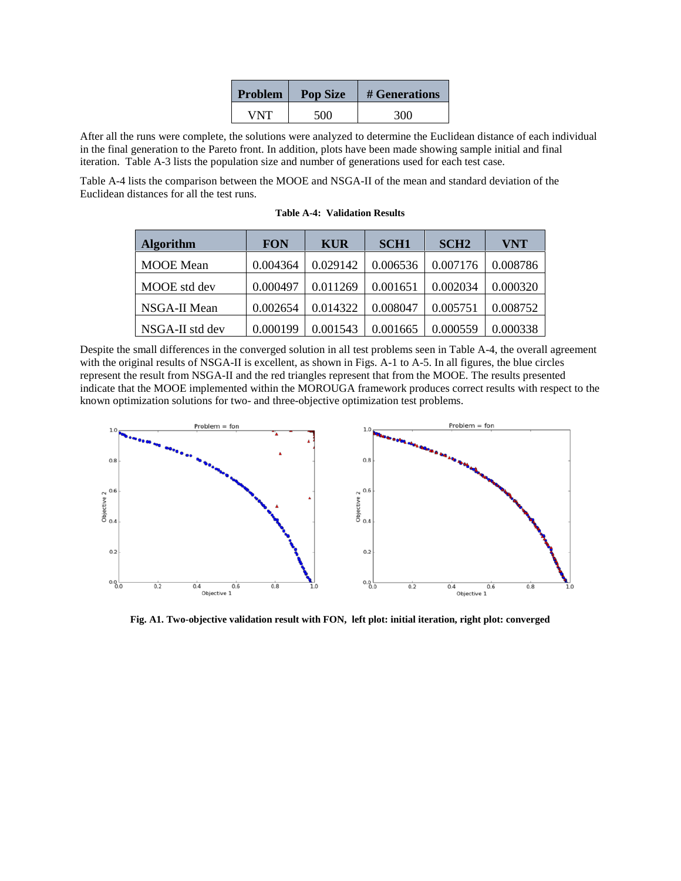| <b>Problem</b> | <b>Pop Size</b> | # Generations |  |  |  |
|----------------|-----------------|---------------|--|--|--|
| VNT            | 500             | 300           |  |  |  |

After all the runs were complete, the solutions were analyzed to determine the Euclidean distance of each individual in the final generation to the Pareto front. In addition, plots have been made showing sample initial and final iteration. Table A-3 lists the population size and number of generations used for each test case.

Table A-4 lists the comparison between the MOOE and NSGA-II of the mean and standard deviation of the Euclidean distances for all the test runs.

| <b>Algorithm</b> | <b>FON</b> | <b>KUR</b> | <b>SCH1</b> | SCH <sub>2</sub> | <b>VNT</b> |
|------------------|------------|------------|-------------|------------------|------------|
| <b>MOOE</b> Mean | 0.004364   | 0.029142   | 0.006536    | 0.007176         | 0.008786   |
| MOOE std dev     | 0.000497   | 0.011269   | 0.001651    | 0.002034         | 0.000320   |
| NSGA-II Mean     | 0.002654   | 0.014322   | 0.008047    | 0.005751         | 0.008752   |
| NSGA-II std dev  | 0.000199   | 0.001543   | 0.001665    | 0.000559         | 0.000338   |

**Table A-4: Validation Results**

Despite the small differences in the converged solution in all test problems seen in Table A-4, the overall agreement with the original results of NSGA-II is excellent, as shown in Figs. A-1 to A-5. In all figures, the blue circles represent the result from NSGA-II and the red triangles represent that from the MOOE. The results presented indicate that the MOOE implemented within the MOROUGA framework produces correct results with respect to the known optimization solutions for two- and three-objective optimization test problems.



**Fig. A1. Two-objective validation result with FON, left plot: initial iteration, right plot: converged**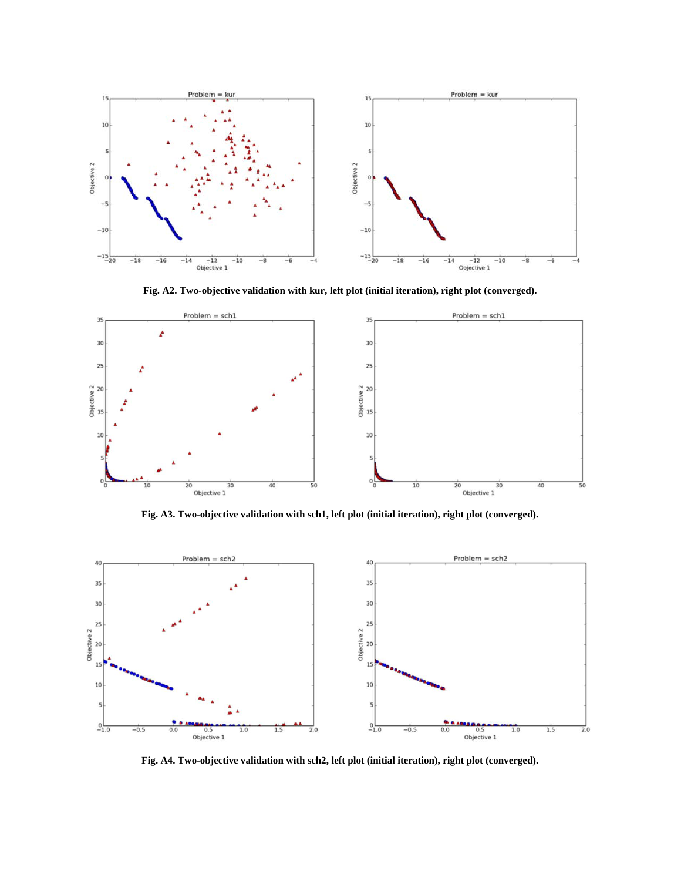

**Fig. A2. Two-objective validation with kur, left plot (initial iteration), right plot (converged).**



**Fig. A3. Two-objective validation with sch1, left plot (initial iteration), right plot (converged).**



**Fig. A4. Two-objective validation with sch2, left plot (initial iteration), right plot (converged).**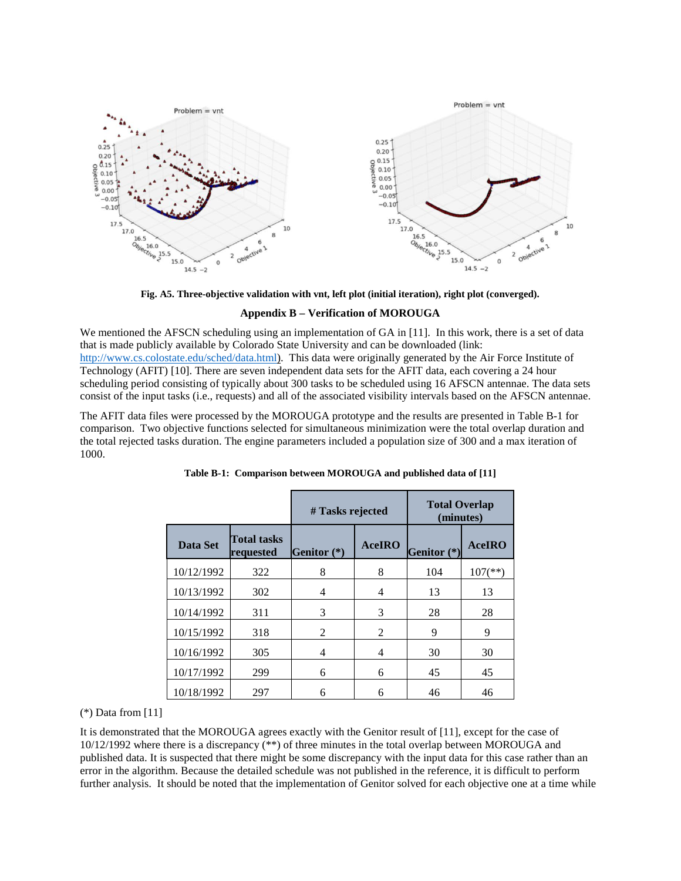

**Fig. A5. Three-objective validation with vnt, left plot (initial iteration), right plot (converged).**

#### **Appendix B – Verification of MOROUGA**

We mentioned the AFSCN scheduling using an implementation of GA in [11]. In this work, there is a set of data that is made publicly available by Colorado State University and can be downloaded (link: [http://www.cs.colostate.edu/sched/data.html\)](http://www.cs.colostate.edu/sched/data.html). This data were originally generated by the Air Force Institute of Technology (AFIT) [10]. There are seven independent data sets for the AFIT data, each covering a 24 hour scheduling period consisting of typically about 300 tasks to be scheduled using 16 AFSCN antennae. The data sets consist of the input tasks (i.e., requests) and all of the associated visibility intervals based on the AFSCN antennae.

The AFIT data files were processed by the MOROUGA prototype and the results are presented in Table B-1 for comparison. Two objective functions selected for simultaneous minimization were the total overlap duration and the total rejected tasks duration. The engine parameters included a population size of 300 and a max iteration of 1000.

|            |                                        | # Tasks rejected |                | <b>Total Overlap</b><br>(minutes) |                       |  |
|------------|----------------------------------------|------------------|----------------|-----------------------------------|-----------------------|--|
| Data Set   | <b>Total tasks</b><br><b>requested</b> | Genitor $(*)$    | <b>AceIRO</b>  | Genitor (*)                       | <b>AceIRO</b>         |  |
| 10/12/1992 | 322                                    | 8                | 8              | 104                               | $107$ <sup>(**)</sup> |  |
| 10/13/1992 | 302                                    | 4                | 4              | 13                                | 13                    |  |
| 10/14/1992 | 311                                    | 3                | 3              | 28                                | 28                    |  |
| 10/15/1992 | 318                                    | 2                | $\overline{c}$ | 9                                 | 9                     |  |
| 10/16/1992 | 305                                    | 4                | 4              | 30                                | 30                    |  |
| 10/17/1992 | 299                                    | 6                | 6              | 45                                | 45                    |  |
| 10/18/1992 | 297                                    | 6                | 6              | 46                                | 46                    |  |

**Table B-1: Comparison between MOROUGA and published data of [11]**

(\*) Data from [11]

It is demonstrated that the MOROUGA agrees exactly with the Genitor result of [11], except for the case of 10/12/1992 where there is a discrepancy (\*\*) of three minutes in the total overlap between MOROUGA and published data. It is suspected that there might be some discrepancy with the input data for this case rather than an error in the algorithm. Because the detailed schedule was not published in the reference, it is difficult to perform further analysis. It should be noted that the implementation of Genitor solved for each objective one at a time while